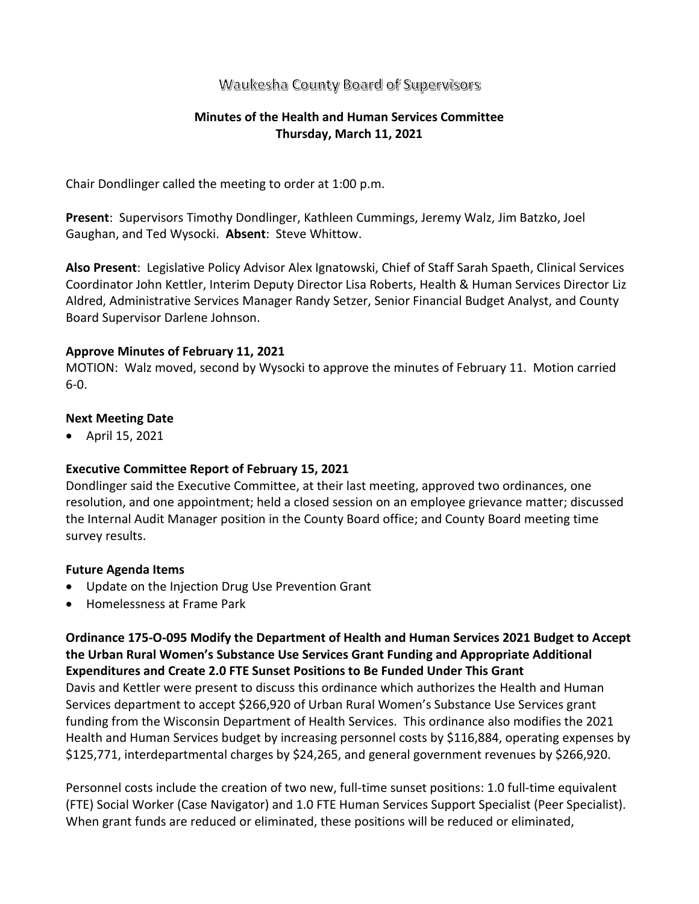# Waukesha County Board of Supervisors

## **Minutes of the Health and Human Services Committee Thursday, March 11, 2021**

Chair Dondlinger called the meeting to order at 1:00 p.m.

**Present**: Supervisors Timothy Dondlinger, Kathleen Cummings, Jeremy Walz, Jim Batzko, Joel Gaughan, and Ted Wysocki. **Absent**: Steve Whittow.

**Also Present**: Legislative Policy Advisor Alex Ignatowski, Chief of Staff Sarah Spaeth, Clinical Services Coordinator John Kettler, Interim Deputy Director Lisa Roberts, Health & Human Services Director Liz Aldred, Administrative Services Manager Randy Setzer, Senior Financial Budget Analyst, and County Board Supervisor Darlene Johnson.

## **Approve Minutes of February 11, 2021**

MOTION: Walz moved, second by Wysocki to approve the minutes of February 11. Motion carried 6-0.

## **Next Meeting Date**

• April 15, 2021

## **Executive Committee Report of February 15, 2021**

Dondlinger said the Executive Committee, at their last meeting, approved two ordinances, one resolution, and one appointment; held a closed session on an employee grievance matter; discussed the Internal Audit Manager position in the County Board office; and County Board meeting time survey results.

#### **Future Agenda Items**

- Update on the Injection Drug Use Prevention Grant
- Homelessness at Frame Park

**Ordinance 175-O-095 Modify the Department of Health and Human Services 2021 Budget to Accept the Urban Rural Women's Substance Use Services Grant Funding and Appropriate Additional Expenditures and Create 2.0 FTE Sunset Positions to Be Funded Under This Grant**

Davis and Kettler were present to discuss this ordinance which authorizes the Health and Human Services department to accept \$266,920 of Urban Rural Women's Substance Use Services grant funding from the Wisconsin Department of Health Services. This ordinance also modifies the 2021 Health and Human Services budget by increasing personnel costs by \$116,884, operating expenses by \$125,771, interdepartmental charges by \$24,265, and general government revenues by \$266,920.

Personnel costs include the creation of two new, full-time sunset positions: 1.0 full-time equivalent (FTE) Social Worker (Case Navigator) and 1.0 FTE Human Services Support Specialist (Peer Specialist). When grant funds are reduced or eliminated, these positions will be reduced or eliminated,